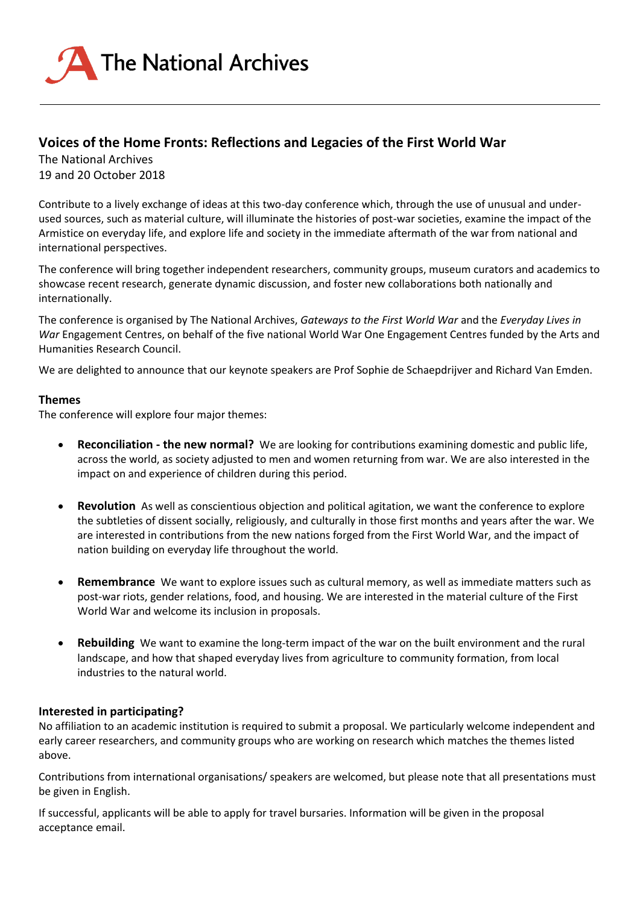

# **Voices of the Home Fronts: Reflections and Legacies of the First World War**

The National Archives 19 and 20 October 2018

Contribute to a lively exchange of ideas at this two-day conference which, through the use of unusual and underused sources, such as material culture, will illuminate the histories of post-war societies, examine the impact of the Armistice on everyday life, and explore life and society in the immediate aftermath of the war from national and international perspectives.

The conference will bring together independent researchers, community groups, museum curators and academics to showcase recent research, generate dynamic discussion, and foster new collaborations both nationally and internationally.

The conference is organised by The National Archives, *Gateways to the First World War* and the *Everyday Lives in War* Engagement Centres, on behalf of the five national World War One Engagement Centres funded by the Arts and Humanities Research Council.

We are delighted to announce that our keynote speakers are Prof Sophie de Schaepdrijver and Richard Van Emden.

## **Themes**

The conference will explore four major themes:

- **Reconciliation - the new normal?** We are looking for contributions examining domestic and public life, across the world, as society adjusted to men and women returning from war. We are also interested in the impact on and experience of children during this period.
- **Revolution** As well as conscientious objection and political agitation, we want the conference to explore the subtleties of dissent socially, religiously, and culturally in those first months and years after the war. We are interested in contributions from the new nations forged from the First World War, and the impact of nation building on everyday life throughout the world.
- **Remembrance** We want to explore issues such as cultural memory, as well as immediate matters such as post-war riots, gender relations, food, and housing. We are interested in the material culture of the First World War and welcome its inclusion in proposals.
- **Rebuilding** We want to examine the long-term impact of the war on the built environment and the rural landscape, and how that shaped everyday lives from agriculture to community formation, from local industries to the natural world.

## **Interested in participating?**

No affiliation to an academic institution is required to submit a proposal. We particularly welcome independent and early career researchers, and community groups who are working on research which matches the themes listed above.

Contributions from international organisations/ speakers are welcomed, but please note that all presentations must be given in English.

If successful, applicants will be able to apply for travel bursaries. Information will be given in the proposal acceptance email.